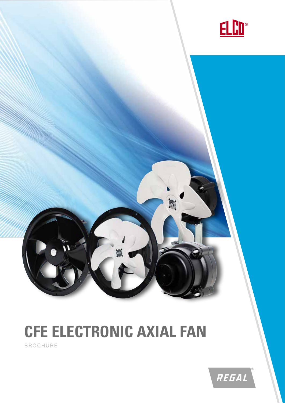

# **CFE ELECTRONIC AXIAL FAN**

Ö

BROCHURE

 $\tilde{u}$ 

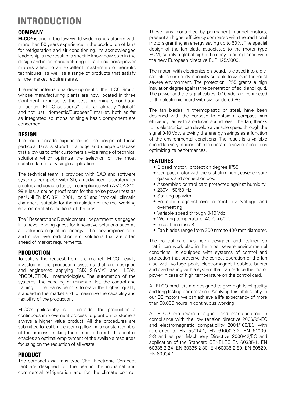## **INTRODUCTION**

#### **COMPANY**

**ELCO**® is one of the few world-wide manufacturers with more than 50 years experience in the production of fans for refrigeration and air conditioning. Its acknowledged leadership is the result of a specific know-how both in the design and inthe manufacturing of fractional horsepower motors allied to an excellent mastership of aeraulic techniques, as well as a range of products that satisfy all the market requirements.

The recent international development of the ELCO Group, whose manufacturing plants are now located in three Continent, represents the best preliminary condition to launch "ELCO solutions" onto an already "global" and not just "domestic/European" market, both as far as integrated solutions or single basic component are concerned.

#### **DESIGN**

The multi decade experience in the design of these particular fans is stored in a huge and unique database that allow us to offer customers a wide range of technical solutions which optimize the selection of the most suitable fan for any single application.

The technical team is provided with CAD and software systems complete with 3D, an advanced laboratory for electric and aeraulic tests, in compliance with AMCA 210- 99 rules, a sound proof room for the noise power test as per UNI EN ISO 3741:2001, "cold" and "tropical" climatic chambers, suitable for the simulation of the real working environment al conditions of the fans.

The "Research and Development" department is engaged in a never ending quest for innovative solutions such as air volumes regulation, energy efficiency improvement and noise level reduction etc. solutions that are often ahead of market requirements.

#### **PRODUCTION**

To satisfy the request from the market, ELCO heavily invested in the production systems that are designed and engineered applying "SIX SIGMA" and "LEAN PRODUCTION" methodologies. The automation of the systems, the handling of minimum lot, the control and training of the teams permits to reach the highest quality standard in the market and to maximize the capability and flexibility of the production.

ELCO's philosophy is to consider the production a continuous improvement process to grant our customers always a higher value product. All the procedures are submitted to real time checking allowing a constant control of the process, making them more efficient. This control enables an optimal employment of the available resources focusing on the reduction of all waste.

#### **PRODUCT**

The compact axial fans type CFE (Electronic Compact Fan) are designed for the use in the industrial and commercial refrigeration and for the climate control.

These fans, controlled by permanent magnet motors, present an higher efficiency compared with the traditional motors granting an energy saving up to 50%. The special design of the fan blade associated to the motor type ECM, supply a global high efficiency in compliance with the new European directive EuP 125/2009.

The motor, with electronics on board, is closed into a diecast aluminum body, specially suitable to work in the most severe environment. The protection IP55 grants a high insulation degree against the penetration of solid and liquid. The power and the signal cables, 0-10 Vdc, are connected to the electronic board with two soldered PG.

The fan blades in thermoplastic or steel, have been designed with the purpose to obtain a compact high efficiency fan with a reduced sound level. The fan, thanks to its electronics, can develop a variable speed through the signal 0-10 Vdc, allowing the energy savings as a function of the environmental conditions. The result is a variable speed fan very efficient able to operate in severe conditions optimizing its performances.

#### **FEATURES**

- Closed motor, protection degree IP55.
- Compact motor with die-cast aluminum, cover closure gaskets and connection box.
- Assembled control card protected against humidity.
- 230V 50/60 Hz
- Starting up with
- Protection against over current, overvoltage and overheating.
- Variable speed through 0-10 Vdc.
- Working temperature -40°C +60°C.
- Insulation class B.
- Fan blades range from 300 mm to 400 mm diameter.

The control card has been designed and realized so that it can work also in the most severe environmental conditions. Is equipped with systems of control and protection that preserve the correct operation of the fan also with voltage peak, electromagnet troubles, bursts and overheating with a system that can reduce the motor power in case of high temperature on the control card.

All ELCO products are designed to give high level quality and long lasting performance. Applying this philosophy to our EC motors we can achieve a life expectancy of more than 60.000 hours in continuous working.

All ELCO motorsare designed and manufactured in compliance with the low tension directive 2006/95/EC and electromagnetic compatibility 2004/108/EC with reference to EN 55014-1, EN 61000-3-2, EN 61000- 3-3 and as per Machinery Directive 2006/42/EC and application of the Standard CENELEC EN 60335-1, EN 60335-2-24, EN 60335-2-80, EN 60335-2-89, EN 60529, EN 60034-1.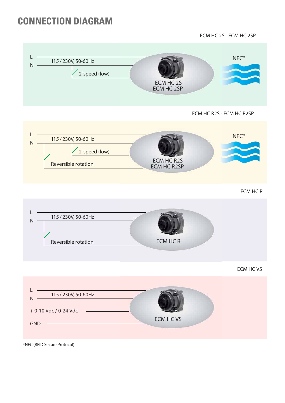### **CONNECTION DIAGRAM**

**ECM HC 2S - ECM HC 2SP**